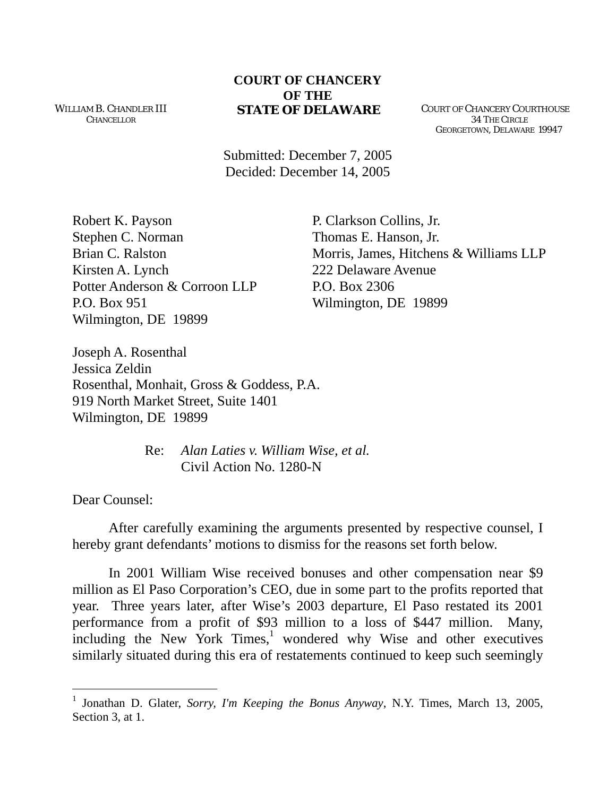WILLIAM B. CHANDLER III **CHANCELLOR** 

## **COURT OF CHANCERY OF THE STATE OF DELAWARE** COURT OF CHANCERY COURTHOUSE

 34 THE CIRCLE GEORGETOWN, DELAWARE 19947

Submitted: December 7, 2005 Decided: December 14, 2005

Robert K. Payson P. Clarkson Collins, Jr. Stephen C. Norman Thomas E. Hanson, Jr. Kirsten A. Lynch 222 Delaware Avenue Potter Anderson & Corroon LLP P.O. Box 2306 P.O. Box 951 Wilmington, DE 19899 Wilmington, DE 19899

Brian C. Ralston Morris, James, Hitchens & Williams LLP

Joseph A. Rosenthal Jessica Zeldin Rosenthal, Monhait, Gross & Goddess, P.A. 919 North Market Street, Suite 1401 Wilmington, DE 19899

> Re: *Alan Laties v. William Wise, et al.*  Civil Action No. 1280-N

Dear Counsel:

 $\overline{a}$ 

 After carefully examining the arguments presented by respective counsel, I hereby grant defendants' motions to dismiss for the reasons set forth below.

In 2001 William Wise received bonuses and other compensation near \$9 million as El Paso Corporation's CEO, due in some part to the profits reported that year. Three years later, after Wise's 2003 departure, El Paso restated its 2001 performance from a profit of \$93 million to a loss of \$447 million. Many,  $\frac{1}{2}$  $\frac{1}{2}$  $\frac{1}{2}$  including the New York Times,<sup>1</sup> wondered why Wise and other executives similarly situated during this era of restatements continued to keep such seemingly

<span id="page-0-0"></span><sup>1</sup> Jonathan D. Glater, *Sorry, I'm Keeping the Bonus Anyway*, N.Y. Times, March 13, 2005, Section 3, at 1.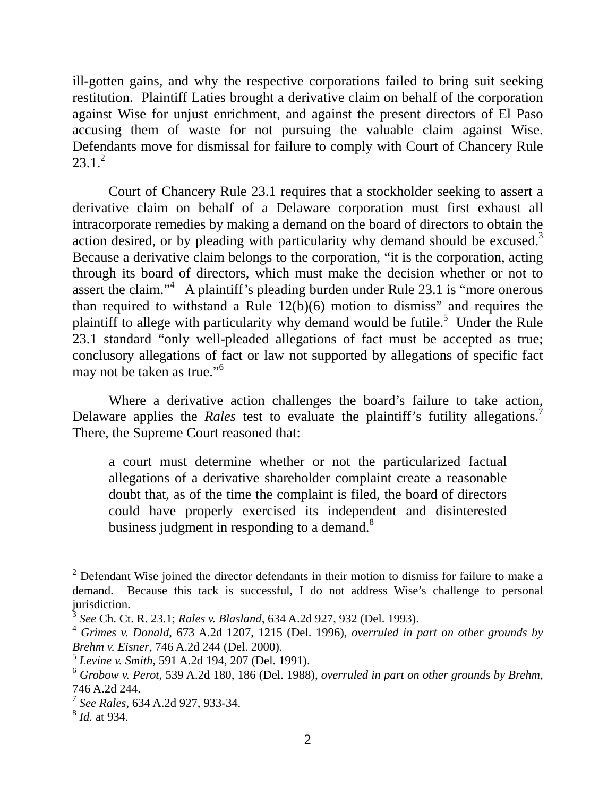ill-gotten gains, and why the respective corporations failed to bring suit seeking restitution. Plaintiff Laties brought a derivative claim on behalf of the corporation against Wise for unjust enrichment, and against the present directors of El Paso accusing them of waste for not pursuing the valuable claim against Wise. Defendants move for dismissal for failure to comply with Court of Chancery Rule  $23.1<sup>2</sup>$ 

Court of Chancery Rule 23.1 requires that a stockholder seeking to assert a derivative claim on behalf of a Delaware corporation must first exhaust all intracorporate remedies by making a demand on the board of directors to obtain the action desired, or by pleading with particularity why demand should be excused. $3$ Because a derivative claim belongs to the corporation, "it is the corporation, acting through its board of directors, which must make the decision whether or not to assert the claim."<sup>4</sup> A plaintiff's pleading burden under Rule 23.1 is "more onerous than required to withstand a Rule  $12(b)(6)$  motion to dismiss" and requires the plaintiff to allege with particularity why demand would be futile.<sup>5</sup> Under the Rule 23.1 standard "only well-pleaded allegations of fact must be accepted as true; conclusory allegations of fact or law not supported by allegations of specific fact may not be taken as true."<sup>[6](#page-1-4)</sup>

Where a derivative action challenges the board's failure to take action, Delaware applies the *Rales* test to evaluate the plaintiff's futility allegations.<sup>[7](#page-1-5)</sup> There, the Supreme Court reasoned that:

a court must determine whether or not the particularized factual allegations of a derivative shareholder complaint create a reasonable doubt that, as of the time the complaint is filed, the board of directors could have properly exercised its independent and disinterested business judgment in responding to a demand. $8$ 

<span id="page-1-0"></span> $\frac{1}{2}$  $2$  Defendant Wise joined the director defendants in their motion to dismiss for failure to make a demand. Because this tack is successful, I do not address Wise's challenge to personal jurisdiction.

<span id="page-1-1"></span><sup>3</sup> *See* Ch. Ct. R. 23.1; *Rales v. Blasland*, 634 A.2d 927, 932 (Del. 1993).

<span id="page-1-2"></span><sup>4</sup> *Grimes v. Donald*, 673 A.2d 1207, 1215 (Del. 1996), *overruled in part on other grounds by Brehm v. Eisner*, 746 A.2d 244 (Del. 2000).

<span id="page-1-3"></span><sup>5</sup> *Levine v. Smith*, 591 A.2d 194, 207 (Del. 1991).

<span id="page-1-4"></span><sup>6</sup> *Grobow v. Perot*, 539 A.2d 180, 186 (Del. 1988), *overruled in part on other grounds by Brehm*, 746 A.2d 244.

<span id="page-1-5"></span><sup>7</sup> *See Rales*, 634 A.2d 927, 933-34.

<span id="page-1-6"></span><sup>8</sup> *Id.* at 934.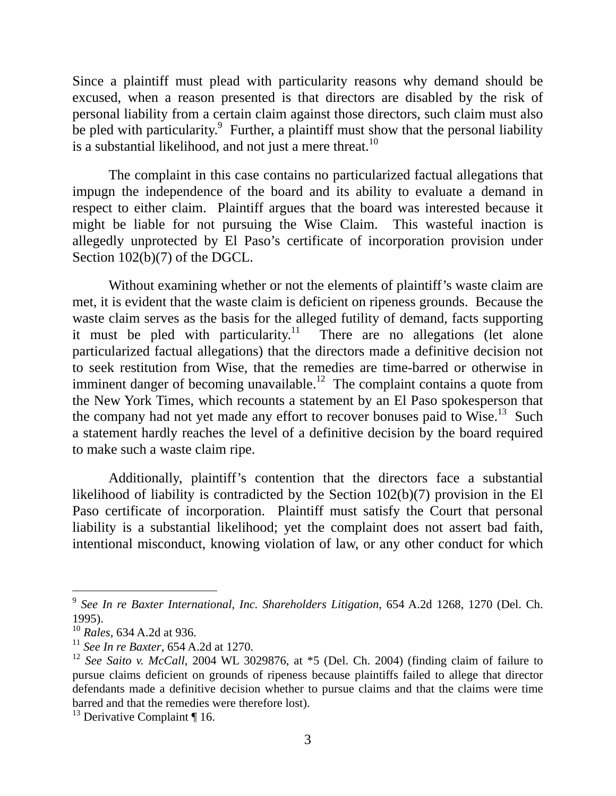Since a plaintiff must plead with particularity reasons why demand should be excused, when a reason presented is that directors are disabled by the risk of personal liability from a certain claim against those directors, such claim must also be pled with particularity.<sup>[9](#page-2-0)</sup> Further, a plaintiff must show that the personal liability is a substantial likelihood, and not just a mere threat.<sup>[10](#page-2-1)</sup>

The complaint in this case contains no particularized factual allegations that impugn the independence of the board and its ability to evaluate a demand in respect to either claim. Plaintiff argues that the board was interested because it might be liable for not pursuing the Wise Claim. This wasteful inaction is allegedly unprotected by El Paso's certificate of incorporation provision under Section 102(b)(7) of the DGCL.

Without examining whether or not the elements of plaintiff's waste claim are met, it is evident that the waste claim is deficient on ripeness grounds. Because the waste claim serves as the basis for the alleged futility of demand, facts supporting it must be pled with particularity.<sup>11</sup> There are no allegations (let alone particularized factual allegations) that the directors made a definitive decision not to seek restitution from Wise, that the remedies are time-barred or otherwise in imminent danger of becoming unavailable.<sup>12</sup> The complaint contains a quote from the New York Times, which recounts a statement by an El Paso spokesperson that the company had not yet made any effort to recover bonuses paid to Wise.<sup>13</sup> Such a statement hardly reaches the level of a definitive decision by the board required to make such a waste claim ripe.

Additionally, plaintiff's contention that the directors face a substantial likelihood of liability is contradicted by the Section 102(b)(7) provision in the El Paso certificate of incorporation. Plaintiff must satisfy the Court that personal liability is a substantial likelihood; yet the complaint does not assert bad faith, intentional misconduct, knowing violation of law, or any other conduct for which

<span id="page-2-0"></span> <sup>9</sup> *See In re Baxter International, Inc. Shareholders Litigation*, 654 A.2d 1268, 1270 (Del. Ch. 1995).

<span id="page-2-1"></span><sup>10</sup> *Rales*, 634 A.2d at 936.

<span id="page-2-2"></span><sup>11</sup> *See In re Baxter*, 654 A.2d at 1270.

<span id="page-2-3"></span><sup>12</sup> *See Saito v. McCall*, 2004 WL 3029876, at \*5 (Del. Ch. 2004) (finding claim of failure to pursue claims deficient on grounds of ripeness because plaintiffs failed to allege that director defendants made a definitive decision whether to pursue claims and that the claims were time barred and that the remedies were therefore lost).

<span id="page-2-4"></span> $13$  Derivative Complaint ¶ 16.